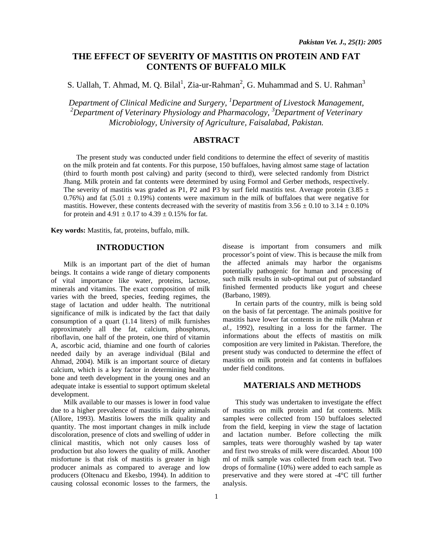## **THE EFFECT OF SEVERITY OF MASTITIS ON PROTEIN AND FAT CONTENTS OF BUFFALO MILK**

S. Uallah, T. Ahmad, M. Q. Bilal<sup>1</sup>, Zia-ur-Rahman<sup>2</sup>, G. Muhammad and S. U. Rahman<sup>3</sup>

*Department of Clinical Medicine and Surgery, 1 Department of Livestock Management, 2 Department of Veterinary Physiology and Pharmacology, <sup>3</sup> Department of Veterinary Microbiology, University of Agriculture, Faisalabad, Pakistan.* 

## **ABSTRACT**

The present study was conducted under field conditions to determine the effect of severity of mastitis on the milk protein and fat contents. For this purpose, 150 buffaloes, having almost same stage of lactation (third to fourth month post calving) and parity (second to third), were selected randomly from District Jhang. Milk protein and fat contents were determined by using Formol and Gerber methods, respectively. The severity of mastitis was graded as P1, P2 and P3 by surf field mastitis test. Average protein (3.85  $\pm$ 0.76%) and fat (5.01  $\pm$  0.19%) contents were maximum in the milk of buffaloes that were negative for mastitis. However, these contents decreased with the severity of mastitis from  $3.56 \pm 0.10$  to  $3.14 \pm 0.10\%$ for protein and  $4.91 \pm 0.17$  to  $4.39 \pm 0.15$ % for fat.

**Key words:** Mastitis, fat, proteins, buffalo, milk.

## **INTRODUCTION**

Milk is an important part of the diet of human beings. It contains a wide range of dietary components of vital importance like water, proteins, lactose, minerals and vitamins. The exact composition of milk varies with the breed, species, feeding regimes, the stage of lactation and udder health. The nutritional significance of milk is indicated by the fact that daily consumption of a quart (1.14 liters) of milk furnishes approximately all the fat, calcium, phosphorus, riboflavin, one half of the protein, one third of vitamin A, ascorbic acid, thiamine and one fourth of calories needed daily by an average individual (Bilal and Ahmad, 2004). Milk is an important source of dietary calcium, which is a key factor in determining healthy bone and teeth development in the young ones and an adequate intake is essential to support optimum skeletal development.

Milk available to our masses is lower in food value due to a higher prevalence of mastitis in dairy animals (Allore, 1993). Mastitis lowers the milk quality and quantity. The most important changes in milk include discoloration, presence of clots and swelling of udder in clinical mastitis, which not only causes loss of production but also lowers the quality of milk. Another misfortune is that risk of mastitis is greater in high producer animals as compared to average and low producers (Oltenacu and Ekesbo, 1994). In addition to causing colossal economic losses to the farmers, the

disease is important from consumers and milk processor's point of view. This is because the milk from the affected animals may harbor the organisms potentially pathogenic for human and processing of such milk results in sub-optimal out put of substandard finished fermented products like yogurt and cheese (Barbano, 1989).

In certain parts of the country, milk is being sold on the basis of fat percentage. The animals positive for mastitis have lower fat contents in the milk (Mahran *et al.,* 1992), resulting in a loss for the farmer. The informations about the effects of mastitis on milk composition are very limited in Pakistan. Therefore, the present study was conducted to determine the effect of mastitis on milk protein and fat contents in buffaloes under field conditons.

## **MATERIALS AND METHODS**

This study was undertaken to investigate the effect of mastitis on milk protein and fat contents. Milk samples were collected from 150 buffaloes selected from the field, keeping in view the stage of lactation and lactation number. Before collecting the milk samples, teats were thoroughly washed by tap water and first two streaks of milk were discarded. About 100 ml of milk sample was collected from each teat. Two drops of formaline (10%) were added to each sample as preservative and they were stored at -4°C till further analysis.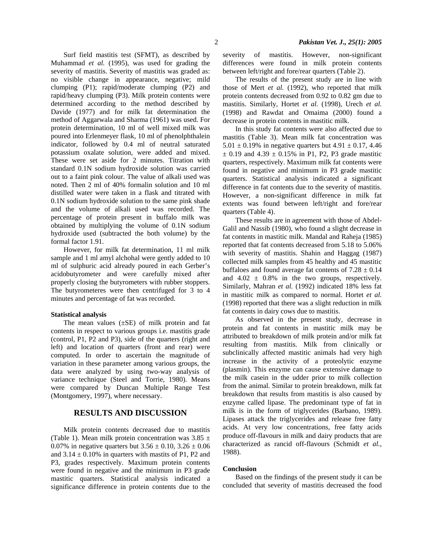Surf field mastitis test (SFMT), as described by Muhammad *et al.* (1995), was used for grading the severity of mastitis. Severity of mastitis was graded as: no visible change in appearance, negative; mild clumping (P1); rapid/moderate clumping (P2) and rapid/heavy clumping (P3). Milk protein contents were determined according to the method described by Davide (1977) and for milk fat determination the method of Aggarwala and Sharma (1961) was used. For protein determination, 10 ml of well mixed milk was poured into Erlenmeyer flask, 10 ml of phenolphthalein indicator, followed by 0.4 ml of neutral saturated potassium oxalate solution, were added and mixed. These were set aside for 2 minutes. Titration with standard 0.1N sodium hydroxide solution was carried out to a faint pink colour. The value of alkali used was noted. Then 2 ml of 40% formalin solution and 10 ml distilled water were taken in a flask and titrated with 0.1N sodium hydroxide solution to the same pink shade and the volume of alkali used was recorded. The percentage of protein present in buffalo milk was obtained by multiplying the volume of 0.1N sodium hydroxide used (subtracted the both volume) by the formal factor 1.91.

However, for milk fat determination, 11 ml milk sample and 1 ml amyl alchohal were gently added to 10 ml of sulphuric acid already poured in each Gerber's acidobutyrometer and were carefully mixed after properly closing the butyrometers with rubber stoppers. The butyrometeres were then centrifuged for 3 to 4 minutes and percentage of fat was recorded.

#### **Statistical analysis**

The mean values  $(\pm SE)$  of milk protein and fat contents in respect to various groups i.e. mastitis grade (control, P1, P2 and P3), side of the quarters (right and left) and location of quarters (front and rear) were computed. In order to ascertain the magnitude of variation in these parameter among various groups, the data were analyzed by using two-way analysis of variance technique (Steel and Torrie, 1980). Means were compared by Duncan Multiple Range Test (Montgomery, 1997), where necessary.

## **RESULTS AND DISCUSSION**

Milk protein contents decreased due to mastitis (Table 1). Mean milk protein concentration was  $3.85 \pm$ 0.07% in negative quarters but  $3.56 \pm 0.10$ ,  $3.26 \pm 0.06$ and  $3.14 \pm 0.10\%$  in quarters with mastits of P1, P2 and P3, grades respectively. Maximum protein contents were found in negative and the minimum in P3 grade mastitic quarters. Statistical analysis indicated a significance difference in protein contents due to the severity of mastitis. However, non-significant differences were found in milk protein contents between left/right and fore/rear quarters (Table 2).

The results of the present study are in line with those of Mert *et al.* (1992), who reported that milk protein contents decreased from 0.92 to 0.82 gm due to mastitis. Similarly, Hortet *et al.* (1998), Urech *et al.* (1998) and Rawdat and Omaima (2000) found a decrease in protein contents in mastitic milk.

In this study fat contents were also affected due to mastitis (Table 3). Mean milk fat concentration was 5.01  $\pm$  0.19% in negative quarters but 4.91  $\pm$  0.17, 4.46  $\pm$  0.19 and 4.39  $\pm$  0.15% in P1, P2, P3 grade mastitic quarters, respectively. Maximum milk fat contents were found in negative and minimum in P3 grade mastitic quarters. Statistical analysis indicated a significant difference in fat contents due to the severity of mastitis. However, a non-significant difference in milk fat extents was found between left/right and fore/rear quarters (Table 4).

These results are in agreement with those of Abdel-Galil and Nassib (1980), who found a slight decrease in fat contents in mastitic milk. Mandal and Raheja (1985) reported that fat contents decreased from 5.18 to 5.06% with severity of mastitis. Shahin and Haggag (1987) collected milk samples from 45 healthy and 45 mastitic buffaloes and found average fat contents of  $7.28 \pm 0.14$ and  $4.02 \pm 0.8\%$  in the two groups, respectively. Similarly, Mahran *et al.* (1992) indicated 18% less fat in mastitic milk as compared to normal. Hortet *et al.* (1998) reported that there was a slight reduction in milk fat contents in dairy cows due to mastitis.

As observed in the present study, decrease in protein and fat contents in mastitic milk may be attributed to breakdown of milk protein and/or milk fat resulting from mastitis. Milk from clinically or subclinically affected mastitic animals had very high increase in the activity of a proteolytic enzyme (plasmin). This enzyme can cause extensive damage to the milk casein in the udder prior to milk collection from the animal. Similar to protein breakdown, milk fat breakdown that results from mastitis is also caused by enzyme called lipase. The predominant type of fat in milk is in the form of triglycerides (Barbano, 1989). Lipases attack the triglycerides and release free fatty acids. At very low concentrations, free fatty acids produce off-flavours in milk and dairy products that are characterized as rancid off-flavours (Schmidt *et al.,* 1988).

#### **Conclusion**

 Based on the findings of the present study it can be concluded that severity of mastitis decreased the food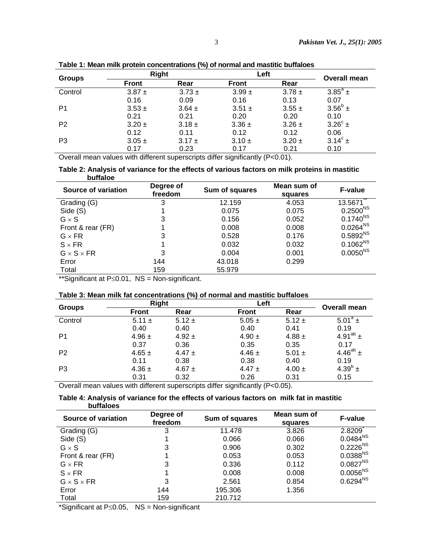| <b>Groups</b>  | <b>Right</b> |            | Left         |            | <b>Overall mean</b> |
|----------------|--------------|------------|--------------|------------|---------------------|
|                | <b>Front</b> | Rear       | <b>Front</b> | Rear       |                     |
| Control        | $3.87 \pm$   | $3.73 \pm$ | $3.99 \pm$   | $3.78 \pm$ | $3.85^{\circ}$ ±    |
|                | 0.16         | 0.09       | 0.16         | 0.13       | 0.07                |
| P <sub>1</sub> | $3.53 \pm$   | $3.64 \pm$ | $3.51 \pm$   | $3.55 \pm$ | $3.56^b \pm$        |
|                | 0.21         | 0.21       | 0.20         | 0.20       | 0.10                |
| P <sub>2</sub> | $3.20 \pm$   | $3.18 \pm$ | $3.36 \pm$   | $3.26 \pm$ | $3.26^{\circ}$ ±    |
|                | 0.12         | 0.11       | 0.12         | 0.12       | 0.06                |
| P <sub>3</sub> | $3.05 \pm$   | $3.17 \pm$ | $3.10 \pm$   | $3.20 \pm$ | $3.14^{\circ}$ ±    |
|                | 0.17         | 0.23       | 0.17         | 0.21       | 0.10                |

**Table 1: Mean milk protein concentrations (%) of normal and mastitic buffaloes** 

Overall mean values with different superscripts differ significantly (P<0.01).

### **Table 2: Analysis of variance for the effects of various factors on milk proteins in mastitic buffaloe**

| Source of variation    | Degree of<br>freedom | Sum of squares | Mean sum of<br>squares | <b>F-value</b>       |
|------------------------|----------------------|----------------|------------------------|----------------------|
| Grading (G)            | 3                    | 12.159         | 4.053                  | 13.5671              |
| Side (S)               |                      | 0.075          | 0.075                  | $0.2500^{NS}$        |
| $G \times S$           | 3                    | 0.156          | 0.052                  | $0.1740^{NS}$        |
| Front & rear (FR)      |                      | 0.008          | 0.008                  | $0.0264^{\text{NS}}$ |
| $G \times FR$          | 3                    | 0.528          | 0.176                  | 0.5892 <sup>NS</sup> |
| $S \times FR$          |                      | 0.032          | 0.032                  | $0.1062^{NS}$        |
| $G \times S \times FR$ | 3                    | 0.004          | 0.001                  | $0.0050^{NS}$        |
| Error                  | 144                  | 43.018         | 0.299                  |                      |
| Total                  | 159                  | 55.979         |                        |                      |
| 1.1.221                | .<br>$\sim$ $\sim$   |                |                        |                      |

\*\*Significant at P≤0.01, NS = Non-significant.

# **Table 3: Mean milk fat concentrations (%) of normal and mastitic buffaloes**

| <b>Groups</b>  | Right        |            | Left         |            | <b>Overall mean</b>      |
|----------------|--------------|------------|--------------|------------|--------------------------|
|                | <b>Front</b> | Rear       | <b>Front</b> | Rear       |                          |
| Control        | $5.11 \pm$   | $5.12 \pm$ | $5.05 \pm$   | $5.12 \pm$ | $5.01^a \pm$             |
|                | 0.40         | 0.40       | 0.40         | 0.41       | 0.19                     |
| P <sub>1</sub> | $4.96 \pm$   | $4.92 \pm$ | 4.90 $\pm$   | $4.88 \pm$ | 4.91 <sup>ab</sup> $\pm$ |
|                | 0.37         | 0.36       | 0.35         | 0.35       | 0.17                     |
| P <sub>2</sub> | $4.65 \pm$   | 4.47 $\pm$ | 4.46 $\pm$   | $5.01 \pm$ | 4.46 <sup>ab</sup> $\pm$ |
|                | 0.11         | 0.38       | 0.38         | 0.40       | 0.19                     |
| P <sub>3</sub> | $4.36 \pm$   | 4.67 $\pm$ | 4.47 $\pm$   | $4.00 \pm$ | 4.39 $^{\circ}$ ±        |
|                | 0.31         | 0.32       | 0.26         | 0.31       | 0.15                     |

Overall mean values with different superscripts differ significantly (P<0.05).

## **Table 4: Analysis of variance for the effects of various factors on milk fat in mastitic buffaloes**

| Source of variation    | Degree of<br>freedom | Sum of squares | Mean sum of<br>squares | <b>F-value</b>         |
|------------------------|----------------------|----------------|------------------------|------------------------|
| Grading (G)            | 3                    | 11.478         | 3.826                  | 2.8209                 |
| Side (S)               |                      | 0.066          | 0.066                  | $0.0484^{\text{NS}}$   |
| $G \times S$           | 3                    | 0.906          | 0.302                  | $0.2226^{\mathsf{NS}}$ |
| Front & rear (FR)      |                      | 0.053          | 0.053                  | $0.0388^{NS}$          |
| $G \times FR$          | 3                    | 0.336          | 0.112                  | $0.0827^{\text{NS}}$   |
| $S \times FR$          |                      | 0.008          | 0.008                  | $0.0056^{NS}$          |
| $G \times S \times FR$ | 3                    | 2.561          | 0.854                  | $0.6294^{\text{NS}}$   |
| Error                  | 144                  | 195.306        | 1.356                  |                        |
| Total                  | 159                  | 210.712        |                        |                        |

\*Significant at P≤0.05, NS = Non-significant